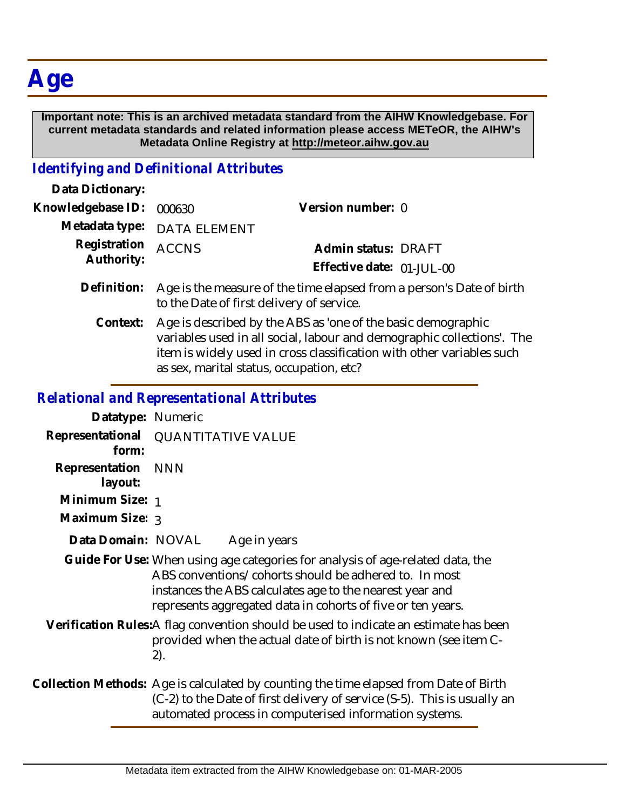## **Age**

 **Important note: This is an archived metadata standard from the AIHW Knowledgebase. For current metadata standards and related information please access METeOR, the AIHW's Metadata Online Registry at http://meteor.aihw.gov.au**

## *Identifying and Definitional Attributes*

| Data Dictionary:           |                                                                                                                                                                                                                                                             |                           |  |
|----------------------------|-------------------------------------------------------------------------------------------------------------------------------------------------------------------------------------------------------------------------------------------------------------|---------------------------|--|
| Knowledgebase ID:          | 000630                                                                                                                                                                                                                                                      | Version number: 0         |  |
| Metadata type:             | <b>DATA ELEMENT</b>                                                                                                                                                                                                                                         |                           |  |
| Registration<br>Authority: | <b>ACCNS</b>                                                                                                                                                                                                                                                | Admin status: DRAFT       |  |
|                            |                                                                                                                                                                                                                                                             | Effective date: 01-JUL-00 |  |
| Definition:                | Age is the measure of the time elapsed from a person's Date of birth<br>to the Date of first delivery of service.                                                                                                                                           |                           |  |
| Context:                   | Age is described by the ABS as 'one of the basic demographic<br>variables used in all social, labour and demographic collections'. The<br>item is widely used in cross classification with other variables such<br>as sex, marital status, occupation, etc? |                           |  |

## *Relational and Representational Attributes*

| Datatype: Numeric         |                                                                                                                                                                                                                                                                    |
|---------------------------|--------------------------------------------------------------------------------------------------------------------------------------------------------------------------------------------------------------------------------------------------------------------|
| form:                     | Representational QUANTITATIVE VALUE                                                                                                                                                                                                                                |
| Representation<br>layout: | <b>NNN</b>                                                                                                                                                                                                                                                         |
| Minimum Size: 1           |                                                                                                                                                                                                                                                                    |
| Maximum Size: 3           |                                                                                                                                                                                                                                                                    |
| Data Domain: NOVAL        | Age in years                                                                                                                                                                                                                                                       |
|                           | Guide For Use: When using age categories for analysis of age-related data, the<br>ABS conventions/cohorts should be adhered to. In most<br>instances the ABS calculates age to the nearest year and<br>represents aggregated data in cohorts of five or ten years. |
|                           | Verification Rules:A flag convention should be used to indicate an estimate has been<br>provided when the actual date of birth is not known (see item C-<br>2).                                                                                                    |
|                           | Collection Methods: Age is calculated by counting the time elapsed from Date of Birth<br>(C-2) to the Date of first delivery of service (S-5). This is usually an                                                                                                  |

automated process in computerised information systems.